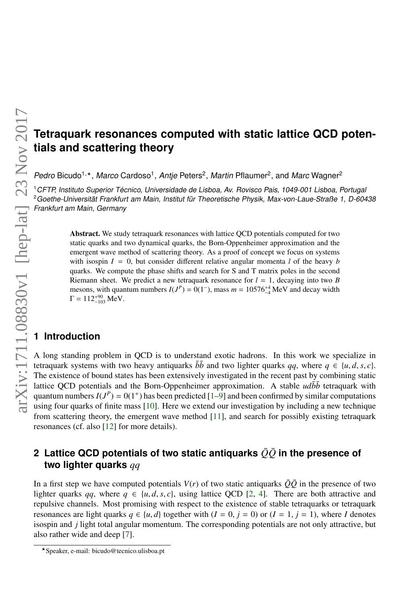# **Tetraquark resonances computed with static lattice QCD potentials and scattering theory**

Pedro Bicudo<sup>1,\*</sup> , *Marco* Cardoso<sup>1</sup>, Antje Peters<sup>2</sup>, Martin Pflaumer<sup>2</sup>, and Marc Wagner<sup>2</sup>

<sup>1</sup>CFTP, Instituto Superior Técnico, Universidade de Lisboa, Av. Rovisco Pais, 1049-001 Lisboa, Portugal <sup>2</sup>Goethe-Universität Frankfurt am Main, Institut für Theoretische Physik, Max-von-Laue-Straße 1, D-60438 Frankfurt am Main, Germany

> Abstract. We study tetraquark resonances with lattice QCD potentials computed for two static quarks and two dynamical quarks, the Born-Oppenheimer approximation and the emergent wave method of scattering theory. As a proof of concept we focus on systems with isospin  $I = 0$ , but consider different relative angular momenta *l* of the heavy *b* quarks. We compute the phase shifts and search for S and T matrix poles in the second Riemann sheet. We predict a new tetraquark resonance for  $l = 1$ , decaying into two *B* mesons, with quantum numbers  $I(J^P) = 0(1^-)$ , mass  $m = 10576^{+4}_{-4}$  MeV and decay width  $\Gamma = 112^{+90}_{-103}$  MeV.

## **1 Introduction**

A long standing problem in QCD is to understand exotic hadrons. In this work we specialize in tetraquark systems with two heavy antiquarks  $\bar{b}\bar{b}$  and two lighter quarks *qq*, where  $q \in \{u, d, s, c\}$ . The existence of bound states has been extensively investigated in the recent past by combining static lattice QCD potentials and the Born-Oppenheimer approximation. A stable  $ud\bar{b}\bar{b}$  tetraquark with quantum numbers *I*(*J P*  $= 0(1<sup>+</sup>)$  has been predicted [\[1](#page-7-0)[–9\]](#page-7-1) and been confirmed by similar computations using four quarks of finite mass [\[10\]](#page-7-2). Here we extend our investigation by including a new technique from scattering theory, the emergent wave method [\[11\]](#page-7-3), and search for possibly existing tetraquark resonances (cf. also [\[12\]](#page-7-4) for more details).

## **2 Lattice QCD potentials of two static antiquarks**  $\overline{Q}\overline{Q}$  in the presence of **two lighter quarks** *qq*

In a first step we have computed potentials  $V(r)$  of two static antiquarks  $\overline{Q}\overline{Q}$  in the presence of two lighter quarks *qq*, where  $q \in \{u, d, s, c\}$ , using lattice QCD [\[2,](#page-7-5) [4\]](#page-7-6). There are both attractive and repulsive channels. Most promising with respect to the existence of stable tetraquarks or tetraquark resonances are light quarks  $q \in \{u, d\}$  together with  $(I = 0, j = 0)$  or  $(I = 1, j = 1)$ , where *I* denotes isospin and *j* light total angular momentum. The corresponding potentials are not only attractive, but also rather wide and deep [\[7\]](#page-7-7).

<sup>?</sup>Speaker, e-mail: bicudo@tecnico.ulisboa.pt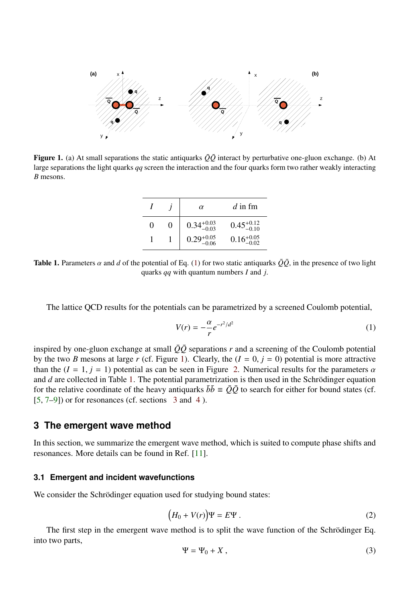

<span id="page-1-1"></span>**Figure 1.** (a) At small separations the static antiquarks  $\overline{Q}\overline{Q}$  interact by perturbative one-gluon exchange. (b) At large separations the light quarks *qq* screen the interaction and the four quarks form two rather weakly interacting *B* mesons.

|   |   | $\alpha$               | $d$ in fm              |
|---|---|------------------------|------------------------|
| 0 | 0 | $0.34^{+0.03}_{-0.03}$ | $0.45^{+0.12}_{-0.10}$ |
|   |   | $0.29_{-0.06}^{+0.05}$ | $0.16_{-0.02}^{+0.05}$ |

<span id="page-1-2"></span>**Table 1.** Parameters  $\alpha$  and  $d$  of the potential of Eq. [\(1\)](#page-1-0) for two static antiquarks  $\overline{Q}\overline{Q}$ , in the presence of two light quarks *qq* with quantum numbers *I* and *j*.

The lattice QCD results for the potentials can be parametrized by a screened Coulomb potential,

<span id="page-1-0"></span>
$$
V(r) = -\frac{\alpha}{r}e^{-r^2/d^2}
$$
 (1)

inspired by one-gluon exchange at small  $\overline{Q}\overline{Q}$  separations *r* and a screening of the Coulomb potential by the two *B* mesons at large *r* (cf. Figure [1\)](#page-1-1). Clearly, the  $(I = 0, j = 0)$  potential is more attractive than the  $(I = 1, i = 1)$  potential as can be seen in Figure [2.](#page-2-0) Numerical results for the parameters  $\alpha$ and *d* are collected in Table [1.](#page-1-2) The potential parametrization is then used in the Schrödinger equation for the relative coordinate of the heavy antiquarks  $\bar{b}\bar{b} \equiv \bar{Q}\bar{Q}$  to search for either for bound states (cf.  $[5, 7-9]$  $[5, 7-9]$  $[5, 7-9]$ ) or for resonances (cf. sections [3](#page-1-3) and [4](#page-4-0)).

## <span id="page-1-3"></span>**3 The emergent wave method**

In this section, we summarize the emergent wave method, which is suited to compute phase shifts and resonances. More details can be found in Ref. [\[11\]](#page-7-3).

#### **3.1 Emergent and incident wavefunctions**

We consider the Schrödinger equation used for studying bound states:

<span id="page-1-4"></span>
$$
(H_0 + V(r))\Psi = E\Psi . \tag{2}
$$

The first step in the emergent wave method is to split the wave function of the Schrödinger Eq. into two parts,

$$
\Psi = \Psi_0 + X \,, \tag{3}
$$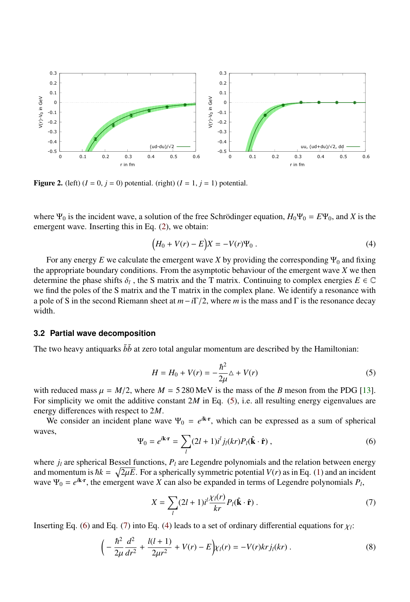

<span id="page-2-0"></span>Figure 2. (left)  $(I = 0, j = 0)$  potential. (right)  $(I = 1, j = 1)$  potential.

where  $\Psi_0$  is the incident wave, a solution of the free Schrödinger equation,  $H_0\Psi_0 = E\Psi_0$ , and *X* is the emergent wave. Inserting this in Eq. [\(2\)](#page-1-4), we obtain:

<span id="page-2-4"></span>
$$
(H_0 + V(r) - E)X = -V(r)\Psi_0.
$$
 (4)

For any energy  $E$  we calculate the emergent wave  $X$  by providing the corresponding  $\Psi_0$  and fixing the appropriate boundary conditions. From the asymptotic behaviour of the emergent wave *X* we then determine the phase shifts  $\delta_l$ , the S matrix and the T matrix. Continuing to complex energies  $E \in \mathbb{C}$ <br>we find the poles of the S matrix and the T matrix in the complex plane. We identify a resonance with we find the poles of the S matrix and the T matrix in the complex plane. We identify a resonance with a pole of S in the second Riemann sheet at *<sup>m</sup>*−*i*Γ/2, where *<sup>m</sup>* is the mass and <sup>Γ</sup> is the resonance decay width.

#### **3.2 Partial wave decomposition**

The two heavy antiquarks  $\bar{b}\bar{b}$  at zero total angular momentum are described by the Hamiltonian:

<span id="page-2-1"></span>
$$
H = H_0 + V(r) = -\frac{\hbar^2}{2\mu}\Delta + V(r)
$$
\n<sup>(5)</sup>

with reduced mass  $\mu = M/2$ , where  $M = 5280 \text{ MeV}$  is the mass of the *B* meson from the PDG [\[13\]](#page-7-9).<br>For simplicity we omit the additive constant 2M in Eq. (5) i.e. all resulting energy eigenvalues are For simplicity we omit the additive constant 2*M* in Eq. [\(5\)](#page-2-1), i.e. all resulting energy eigenvalues are energy differences with respect to 2*M*.

We consider an incident plane wave  $\Psi_0 = e^{i\mathbf{k} \cdot \mathbf{r}}$ , which can be expressed as a sum of spherical waves,

<span id="page-2-2"></span>
$$
\Psi_0 = e^{i\mathbf{k}\cdot\mathbf{r}} = \sum_l (2l+1)i^l j_l(kr) P_l(\hat{\mathbf{k}}\cdot\hat{\mathbf{r}}) ,
$$
\n(6)

where  $j_l$  are spherical Bessel functions,  $P_l$  are Legendre polynomials and the relation between energy and momentum is  $\hbar k = \sqrt{2\mu E}$ . For a spherically symmetric potential  $V(r)$  as in Eq. [\(1\)](#page-1-0) and an incident wave  $\Psi_0 = e^{ikr}$ , the emergent wave  $X$  can also be expanded in terms of I egendre polynomials  $P_0$ . wave  $\Psi_0 = e^{i\mathbf{k} \cdot \mathbf{r}}$ , the emergent wave *X* can also be expanded in terms of Legendre polynomials  $P_l$ ,

<span id="page-2-3"></span>
$$
X = \sum_{l} (2l+1)i^{l} \frac{\chi_{l}(r)}{kr} P_{l}(\hat{\mathbf{k}} \cdot \hat{\mathbf{r}}) \tag{7}
$$

Inserting Eq. [\(6\)](#page-2-2) and Eq. [\(7\)](#page-2-3) into Eq. [\(4\)](#page-2-4) leads to a set of ordinary differential equations for  $\chi$ <sup>2</sup>.

<span id="page-2-5"></span>
$$
\left(-\frac{\hbar^2}{2\mu}\frac{d^2}{dr^2} + \frac{l(l+1)}{2\mu r^2} + V(r) - E\right)\chi_l(r) = -V(r)krj_l(kr) \,. \tag{8}
$$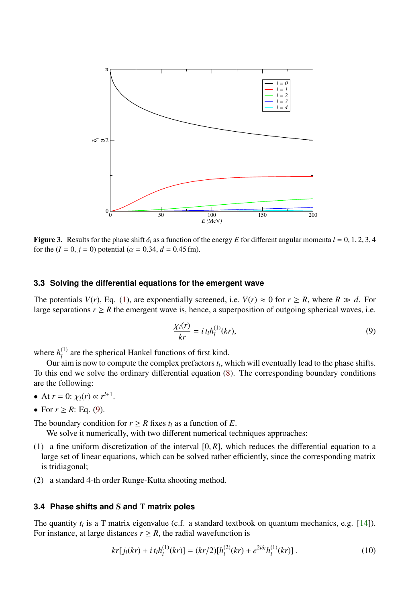

<span id="page-3-1"></span>**Figure 3.** Results for the phase shift  $\delta$  as a function of the energy *E* for different angular momenta  $l = 0, 1, 2, 3, 4$ for the ( $I = 0$ ,  $j = 0$ ) potential ( $\alpha = 0.34$ ,  $d = 0.45$  fm).

#### **3.3 Solving the differential equations for the emergent wave**

The potentials  $V(r)$ , Eq. [\(1\)](#page-1-0), are exponentially screened, i.e.  $V(r) \approx 0$  for  $r \ge R$ , where  $R \gg d$ . For large separations  $r \ge R$  the emergent wave is, hence, a superposition of outgoing spherical waves, i.e.

<span id="page-3-0"></span>
$$
\frac{\chi_l(r)}{kr} = i t_l h_l^{(1)}(kr),\tag{9}
$$

where  $h_l^{(1)}$  $\mu_l^{(1)}$  are the spherical Hankel functions of first kind.

Our aim is now to compute the complex prefactors  $t_l$ , which will eventually lead to the phase shifts. To this end we solve the ordinary differential equation [\(8\)](#page-2-5). The corresponding boundary conditions are the following:

- At  $r = 0$ :  $\chi_l(r) \propto r^{l+1}$ .
- For  $r \ge R$ : Eq. [\(9\)](#page-3-0).

The boundary condition for  $r \geq R$  fixes  $t_l$  as a function of *E*.

We solve it numerically, with two different numerical techniques approaches:

- (1) a fine uniform discretization of the interval  $[0, R]$ , which reduces the differential equation to a large set of linear equations, which can be solved rather efficiently, since the corresponding matrix is tridiagonal;
- (2) a standard 4-th order Runge-Kutta shooting method.

## **3.4 Phase shifts and** S **and** T **matrix poles**

The quantity  $t_l$  is a T matrix eigenvalue (c.f. a standard textbook on quantum mechanics, e.g. [\[14\]](#page-7-10)). For instance, at large distances  $r \geq R$ , the radial wavefunction is

$$
kr[j_l(kr) + i\ t_l h_l^{(1)}(kr)] = (kr/2)[h_l^{(2)}(kr) + e^{2i\delta_l}h_l^{(1)}(kr)].
$$
\n(10)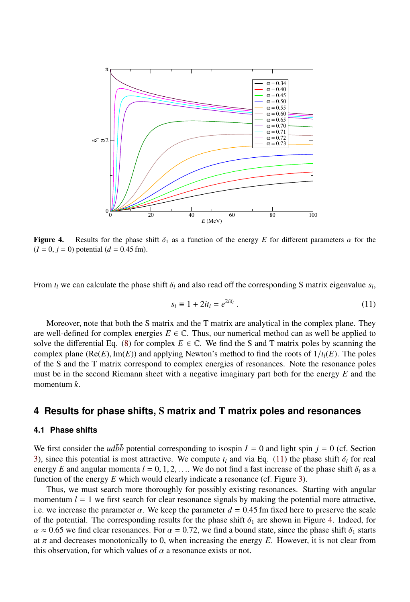

<span id="page-4-2"></span>Figure 4. Results for the phase shift  $\delta_1$  as a function of the energy *E* for different parameters  $\alpha$  for the  $(I = 0, j = 0)$  potential  $(d = 0.45$  fm).

From  $t_l$  we can calculate the phase shift  $\delta_l$  and also read off the corresponding S matrix eigenvalue  $s_l$ ,

<span id="page-4-1"></span>
$$
s_l \equiv 1 + 2it_l = e^{2i\delta_l} \tag{11}
$$

Moreover, note that both the S matrix and the T matrix are analytical in the complex plane. They are well-defined for complex energies  $E \in \mathbb{C}$ . Thus, our numerical method can as well be applied to solve the differential Eq. [\(8\)](#page-2-5) for complex  $E \in \mathbb{C}$ . We find the S and T matrix poles by scanning the complex plane  $(Re(E), Im(E))$  and applying Newton's method to find the roots of  $1/t_l(E)$ . The poles of the S and the T matrix correspond to complex energies of resonances. Note the resonance poles must be in the second Riemann sheet with a negative imaginary part both for the energy *E* and the momentum *k*.

## <span id="page-4-0"></span>**4 Results for phase shifts,** S **matrix and** T **matrix poles and resonances**

### **4.1 Phase shifts**

We first consider the *udbb* potential corresponding to isospin  $I = 0$  and light spin  $j = 0$  (cf. Section [3\)](#page-1-3), since this potential is most attractive. We compute  $t_l$  and via Eq. [\(11\)](#page-4-1) the phase shift  $\delta_l$  for real energy *E* and angular momenta  $l = 0, 1, 2, \ldots$  We do not find a fast increase of the phase shift  $\delta_l$  as a function of the energy *E* which would clearly indicate a resonance (cf. Figure [3\)](#page-3-1).

Thus, we must search more thoroughly for possibly existing resonances. Starting with angular momentum  $l = 1$  we first search for clear resonance signals by making the potential more attractive, i.e. we increase the parameter  $\alpha$ . We keep the parameter  $d = 0.45$  fm fixed here to preserve the scale of the potential. The corresponding results for the phase shift  $\delta_1$  are shown in Figure [4.](#page-4-2) Indeed, for  $\alpha \approx 0.65$  we find clear resonances. For  $\alpha = 0.72$ , we find a bound state, since the phase shift  $\delta_1$  starts at  $\pi$  and decreases monotonically to 0, when increasing the energy *E*. However, it is not clear from this observation, for which values of  $\alpha$  a resonance exists or not.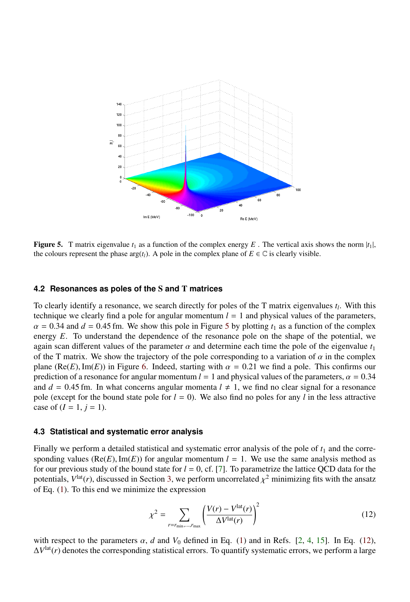

<span id="page-5-0"></span>**Figure 5.** T matrix eigenvalue  $t_1$  as a function of the complex energy E. The vertical axis shows the norm  $|t_1|$ , the colours represent the phase  $\arg(t_l)$ . A pole in the complex plane of  $E \in \mathbb{C}$  is clearly visible.

#### **4.2 Resonances as poles of the** S **and** T **matrices**

To clearly identify a resonance, we search directly for poles of the T matrix eigenvalues *t<sup>l</sup>* . With this technique we clearly find a pole for angular momentum  $l = 1$  and physical values of the parameters,  $\alpha$  = 0.34 and  $d$  = 0.4[5](#page-5-0) fm. We show this pole in Figure 5 by plotting  $t_1$  as a function of the complex energy *E*. To understand the dependence of the resonance pole on the shape of the potential, we again scan different values of the parameter  $\alpha$  and determine each time the pole of the eigenvalue  $t_1$ of the T matrix. We show the trajectory of the pole corresponding to a variation of  $\alpha$  in the complex plane ( $Re(E)$ , Im(*E*)) in Figure [6.](#page-6-0) Indeed, starting with  $\alpha = 0.21$  we find a pole. This confirms our prediction of a resonance for angular momentum  $l = 1$  and physical values of the parameters,  $\alpha = 0.34$ and  $d = 0.45$  fm. In what concerns angular momenta  $l \neq 1$ , we find no clear signal for a resonance pole (except for the bound state pole for  $l = 0$ ). We also find no poles for any *l* in the less attractive case of  $(I = 1, j = 1)$ .

#### **4.3 Statistical and systematic error analysis**

Finally we perform a detailed statistical and systematic error analysis of the pole of  $t_1$  and the corresponding values ( $Re(E), Im(E)$ ) for angular momentum  $l = 1$ . We use the same analysis method as for our previous study of the bound state for  $l = 0$ , cf. [\[7\]](#page-7-7). To parametrize the lattice QCD data for the potentials,  $V^{\text{lat}}(r)$ , discussed in Section [3,](#page-1-3) we perform uncorrelated  $\chi^2$  minimizing fits with the ansatz of Eq. (1). To this end we minimize the expression of Eq. [\(1\)](#page-1-0). To this end we minimize the expression

<span id="page-5-1"></span>
$$
\chi^2 = \sum_{r = r_{\text{min}}, \dots, r_{\text{max}}} \left( \frac{V(r) - V^{\text{lat}}(r)}{\Delta V^{\text{lat}}(r)} \right)^2 \tag{12}
$$

with respect to the parameters  $\alpha$ , *d* and  $V_0$  defined in Eq. [\(1\)](#page-1-0) and in Refs. [\[2,](#page-7-5) [4,](#page-7-6) [15\]](#page-7-11). In Eq. [\(12\)](#page-5-1), ∆*V* lat(*r*) denotes the corresponding statistical errors. To quantify systematic errors, we perform a large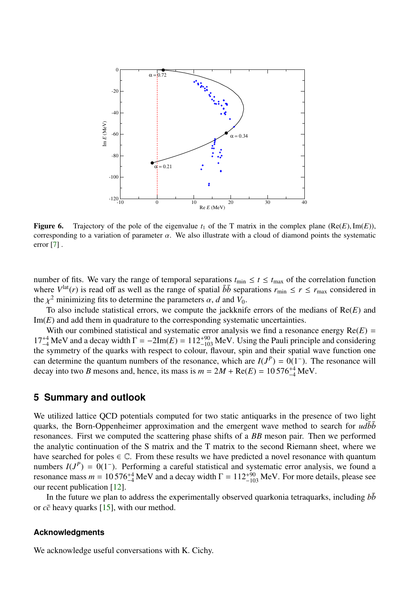

<span id="page-6-0"></span>**Figure 6.** Trajectory of the pole of the eigenvalue  $t_1$  of the T matrix in the complex plane (Re(*E*), Im(*E*)), corresponding to a variation of parameter  $\alpha$ . We also illustrate with a cloud of diamond points the systematic error [\[7\]](#page-7-7) .

number of fits. We vary the range of temporal separations  $t_{\text{min}} \le t \le t_{\text{max}}$  of the correlation function where  $V^{\text{lat}}(r)$  is read off as well as the range of spatial  $b\bar{b}$  separations  $r_{\min} \leq r \leq r_{\max}$  considered in the  $\chi^2$  minimizing fits to determine the parameters  $\alpha$ , *d* and *V*<sub>0</sub>.<br>To also include statistical errors, we compute the jackknift

To also include statistical errors, we compute the jackknife errors of the medians of Re(*E*) and Im(*E*) and add them in quadrature to the corresponding systematic uncertainties.

With our combined statistical and systematic error analysis we find a resonance energy  $Re(E)$  =  $17^{+4}_{-4}$  MeV and a decay width  $\Gamma = -2\text{Im}(E) = 112^{+90}_{-103}$  MeV. Using the Pauli principle and considering the symmetry of the quarks with respect to colour, flavour, spin and their spatial wave function one can determine the quantum numbers of the resonance, which are  $I(J^P) = O(1^-)$ . The resonance will decay into two *B* mesons and, hence, its mass is  $m = 2M + \text{Re}(E) = 10576^{+4}_{-4}\text{MeV}$ .

## **5 Summary and outlook**

We utilized lattice QCD potentials computed for two static antiquarks in the presence of two light quarks, the Born-Oppenheimer approximation and the emergent wave method to search for  $ud\bar{b}\bar{b}$ resonances. First we computed the scattering phase shifts of a *BB* meson pair. Then we performed the analytic continuation of the S matrix and the T matrix to the second Riemann sheet, where we have searched for poles  $\in \mathbb{C}$ . From these results we have predicted a novel resonance with quantum numbers  $I(J^P) = 0(1^-)$ . Performing a careful statistical and systematic error analysis, we found a resonance mass  $m = 10576^{+4}_{-4}$  MeV and a decay width  $\Gamma = 112^{+90}_{-103}$  MeV. For more details, please see our recent publication [\[12\]](#page-7-4).

In the future we plan to address the experimentally observed quarkonia tetraquarks, including  $b\bar{b}$ or *cc*¯ heavy quarks [\[15\]](#page-7-11), with our method.

### **Acknowledgments**

We acknowledge useful conversations with K. Cichy.